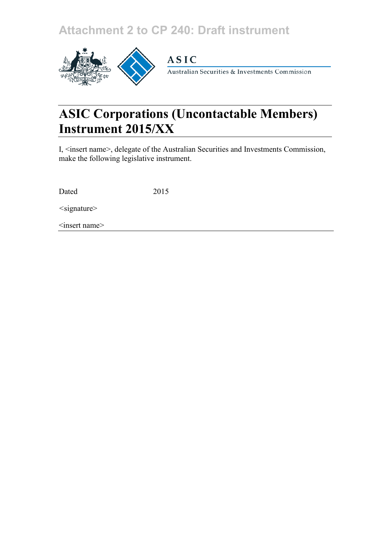## **Attachment 2 to CP 240: Draft instrument**



## **ASIC**

Australian Securities & Investments Commission

# **ASIC Corporations (Uncontactable Members) Instrument 2015/XX**

I, <insert name>, delegate of the Australian Securities and Investments Commission, make the following legislative instrument.

Dated 2015

*<*signature>

<insert name>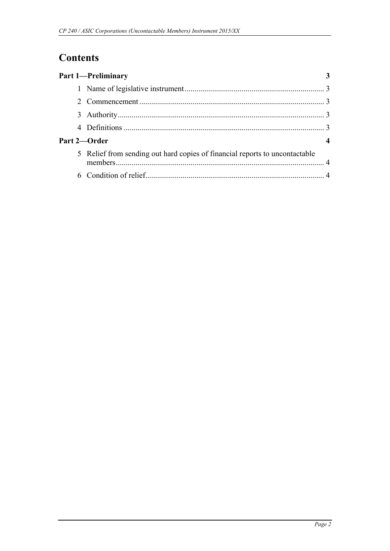## **Contents**

| <b>Part 1-Preliminary</b>                                                   |  |
|-----------------------------------------------------------------------------|--|
|                                                                             |  |
|                                                                             |  |
|                                                                             |  |
|                                                                             |  |
| Part 2—Order                                                                |  |
| 5 Relief from sending out hard copies of financial reports to uncontactable |  |
|                                                                             |  |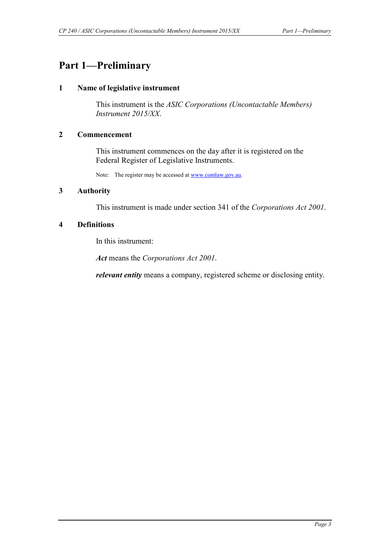### <span id="page-2-1"></span><span id="page-2-0"></span>**Part 1—Preliminary**

#### **1 Name of legislative instrument**

This instrument is the *ASIC Corporations (Uncontactable Members) Instrument 2015/XX*.

#### <span id="page-2-2"></span>**2 Commencement**

This instrument commences on the day after it is registered on the Federal Register of Legislative Instruments.

Note: The register may be accessed a[t www.comlaw.gov.au.](http://www.comlaw.gov.au/)

#### <span id="page-2-3"></span>**3 Authority**

This instrument is made under section 341 of the *Corporations Act 2001*.

#### <span id="page-2-4"></span>**4 Definitions**

In this instrument:

*Act* means the *Corporations Act 2001*.

*relevant entity* means a company, registered scheme or disclosing entity.